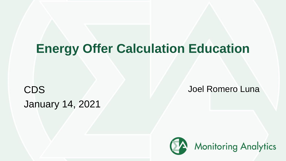# **Energy Offer Calculation Education**

**CDS Joel Romero Luna** January 14, 2021

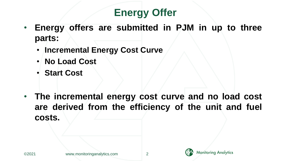# **Energy Offer**

- **Energy offers are submitted in PJM in up to three parts:**
	- **Incremental Energy Cost Curve**
	- **No Load Cost**
	- **Start Cost**
- **The incremental energy cost curve and no load cost are derived from the efficiency of the unit and fuel costs.**

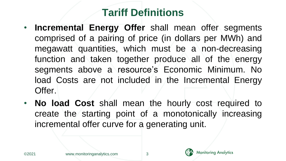# **Tariff Definitions**

- **Incremental Energy Offer** shall mean offer segments comprised of a pairing of price (in dollars per MWh) and megawatt quantities, which must be a non-decreasing function and taken together produce all of the energy segments above a resource's Economic Minimum. No load Costs are not included in the Incremental Energy Offer.
- **No load Cost** shall mean the hourly cost required to create the starting point of a monotonically increasing incremental offer curve for a generating unit.

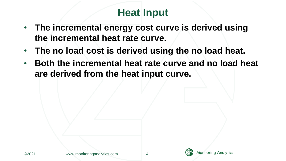# **Heat Input**

- **The incremental energy cost curve is derived using the incremental heat rate curve.**
- **The no load cost is derived using the no load heat.**
- **Both the incremental heat rate curve and no load heat are derived from the heat input curve.**

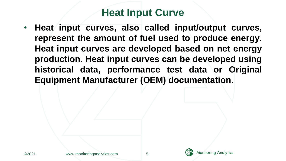### **Heat Input Curve**

• **Heat input curves, also called input/output curves, represent the amount of fuel used to produce energy. Heat input curves are developed based on net energy production. Heat input curves can be developed using historical data, performance test data or Original Equipment Manufacturer (OEM) documentation.**

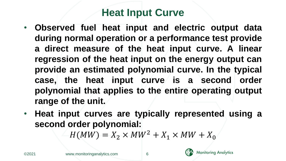## **Heat Input Curve**

- **Observed fuel heat input and electric output data during normal operation or a performance test provide a direct measure of the heat input curve. A linear regression of the heat input on the energy output can provide an estimated polynomial curve. In the typical case, the heat input curve is a second order polynomial that applies to the entire operating output range of the unit.**
- **Heat input curves are typically represented using a second order polynomial:**

 $H(MW) = X_2 \times MW^2 + X_1 \times MW + X_0$ 



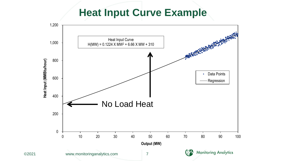#### **Heat Input Curve Example**

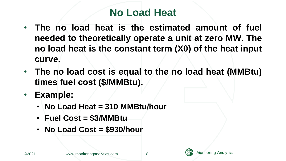# **No Load Heat**

- **The no load heat is the estimated amount of fuel needed to theoretically operate a unit at zero MW. The no load heat is the constant term (X0) of the heat input curve.**
- **The no load cost is equal to the no load heat (MMBtu) times fuel cost (\$/MMBtu).**
- **Example:**
	- **No Load Heat = 310 MMBtu/hour**
	- **Fuel Cost = \$3/MMBtu**
	- **No Load Cost = \$930/hour**

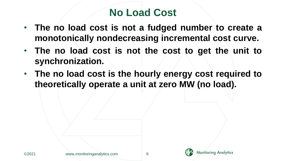# **No Load Cost**

- **The no load cost is not a fudged number to create a monotonically nondecreasing incremental cost curve.**
- **The no load cost is not the cost to get the unit to synchronization.**
- **The no load cost is the hourly energy cost required to theoretically operate a unit at zero MW (no load).**

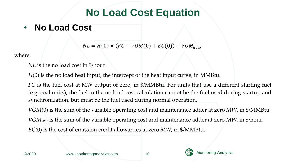# **No Load Cost Equation**

• **No Load Cost**

 $NL = H(0) \times (FC + VOM(0) + EC(0)) + VOM_{hour}$ 

where:

*NL* is the no load cost in \$/hour.

*H*(0) is the no load heat input, the intercept of the heat input curve, in MMBtu.

*FC* is the fuel cost at MW output of zero, in \$/MMBtu. For units that use a different starting fuel (e.g. coal units), the fuel in the no load cost calculation cannot be the fuel used during startup and synchronization, but must be the fuel used during normal operation.

*VOM*(0) is the sum of the variable operating cost and maintenance adder at zero *MW*, in \$/MMBtu. *VOMhour* is the sum of the variable operating cost and maintenance adder at zero *MW*, in \$/hour. *EC*(0) is the cost of emission credit allowances at zero *MW*, in \$/MMBtu.



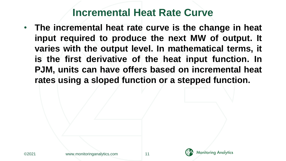• **The incremental heat rate curve is the change in heat input required to produce the next MW of output. It varies with the output level. In mathematical terms, it is the first derivative of the heat input function. In PJM, units can have offers based on incremental heat rates using a sloped function or a stepped function.**

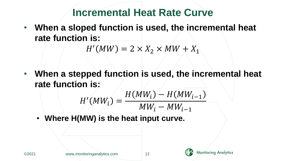• **When a sloped function is used, the incremental heat rate function is:**

$$
H'(MW) = 2 \times X_2 \times MW + X_1
$$

• **When a stepped function is used, the incremental heat rate function is:**

$$
H'(MW_i) = \frac{H(MW_i) - H(MW_{i-1})}{MW_i - MW_{i-1}}
$$

• **Where H(MW) is the heat input curve.**



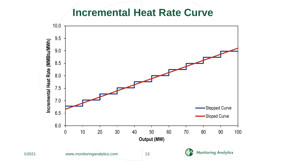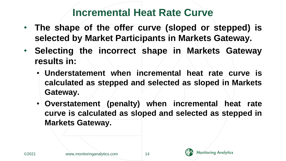- **The shape of the offer curve (sloped or stepped) is selected by Market Participants in Markets Gateway.**
- **Selecting the incorrect shape in Markets Gateway results in:**
	- **Understatement when incremental heat rate curve is calculated as stepped and selected as sloped in Markets Gateway.**
	- **Overstatement (penalty) when incremental heat rate curve is calculated as sloped and selected as stepped in Markets Gateway.**



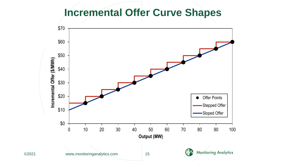#### **Incremental Offer Curve Shapes**

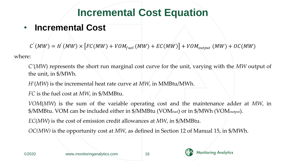# **Incremental Cost Equation**

#### • **Incremental Cost**

 $C^{'}(MW) = H^{'}(MW) \times [FC(MW) + VOM_{fuel}(MW) + EC(MW)] + VOM_{output}(MW) + OC(MW)$ 

where:

*C'*(*MW*) represents the short run marginal cost curve for the unit, varying with the *MW* output of the unit, in \$/MWh.

*H'*(*MW*) is the incremental heat rate curve at *MW*, in MMBtu/MWh.

*FC* is the fuel cost at *MW*, in \$/MMBtu.

*VOM*(*MW*) is the sum of the variable operating cost and the maintenance adder at *MW*, in \$/MMBtu. VOM can be included either in \$/MMBtu (VOMfuel) or in \$/MWh (VOMoutput).

*EC*(*MW*) is the cost of emission credit allowances at *MW*, in \$/MMBtu.

*OC(MW)* is the opportunity cost at *MW*, as defined in Section 12 of Manual 15, in \$/MWh.



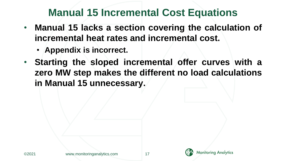## **Manual 15 Incremental Cost Equations**

- **Manual 15 lacks a section covering the calculation of incremental heat rates and incremental cost.**
	- **Appendix is incorrect.**
- **Starting the sloped incremental offer curves with a zero MW step makes the different no load calculations in Manual 15 unnecessary.**

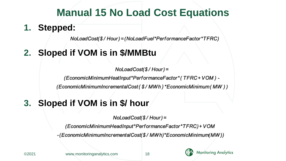### **Manual 15 No Load Cost Equations**

#### **1. Stepped:**

NoLoadCost(\$/Hour)=(NoLoadFuel\*PerformanceFactor\*TFRC)

#### **2. Sloped if VOM is in \$/MMBtu**

 $NoloadCost($/Hour) =$ 

(EconomicMinimumHeatInput\*PerformanceFactor\*(TFRC+VOM)-

(EconomicMinimumIncrementalCost(\$/MWh)\*EconomicMinimum(MW))

#### **3. Sloped if VOM is in \$/ hour**

 $NoloadCost($/Hour) =$ 

(EconomicMinimumHeadInput\*PerformanceFactor\*TFRC)+VOM

-(EconomicMinimumIncrementalCost(\$/MWh)\*EconomicMinimum(MW))

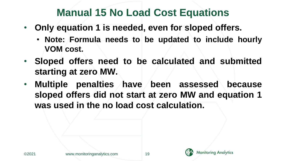## **Manual 15 No Load Cost Equations**

- **Only equation 1 is needed, even for sloped offers.**
	- **Note: Formula needs to be updated to include hourly VOM cost.**
- **Sloped offers need to be calculated and submitted starting at zero MW.**
- **Multiple penalties have been assessed because sloped offers did not start at zero MW and equation 1 was used in the no load cost calculation.**



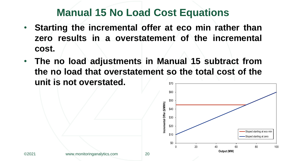### **Manual 15 No Load Cost Equations**

- **Starting the incremental offer at eco min rather than zero results in a overstatement of the incremental cost.**
- **The no load adjustments in Manual 15 subtract from the no load that overstatement so the total cost of the unit is not overstated.** \$70

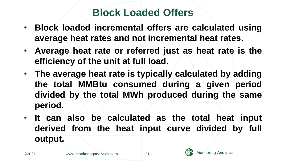### **Block Loaded Offers**

- **Block loaded incremental offers are calculated using average heat rates and not incremental heat rates.**
- **Average heat rate or referred just as heat rate is the efficiency of the unit at full load.**
- **The average heat rate is typically calculated by adding the total MMBtu consumed during a given period divided by the total MWh produced during the same period.**
- **It can also be calculated as the total heat input derived from the heat input curve divided by full output.**

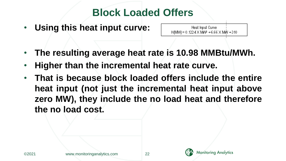## **Block Loaded Offers**

• **Using this heat input curve:**

Heat Input Curve  $H(MW) = 0.1224 \times MW^2 + 6.66 \times MW + 310$ 

- **The resulting average heat rate is 10.98 MMBtu/MWh.**
- **Higher than the incremental heat rate curve.**
- **That is because block loaded offers include the entire heat input (not just the incremental heat input above zero MW), they include the no load heat and therefore the no load cost.**

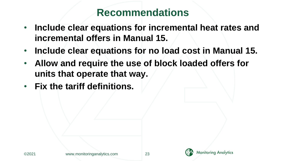#### **Recommendations**

- **Include clear equations for incremental heat rates and incremental offers in Manual 15.**
- **Include clear equations for no load cost in Manual 15.**
- **Allow and require the use of block loaded offers for units that operate that way.**
- **Fix the tariff definitions.**

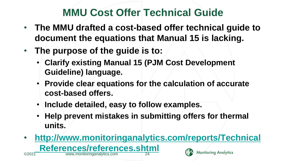# **MMU Cost Offer Technical Guide**

- **The MMU drafted a cost-based offer technical guide to document the equations that Manual 15 is lacking.**
- **The purpose of the guide is to:**
	- **Clarify existing Manual 15 (PJM Cost Development Guideline) language.**
	- **Provide clear equations for the calculation of accurate cost-based offers.**
	- **Include detailed, easy to follow examples.**
	- **Help prevent mistakes in submitting offers for thermal units.**
- **[http://www.monitoringanalytics.com/reports/Technical](http://www.monitoringanalytics.com/reports/Technical_References/references.shtml) References/references.shtml Monitoring Analytics** www.monitoringanalytics.com